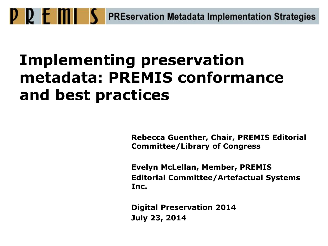# **Implementing preservation metadata: PREMIS conformance and best practices**

**Rebecca Guenther, Chair, PREMIS Editorial Committee/Library of Congress**

**Evelyn McLellan, Member, PREMIS Editorial Committee/Artefactual Systems Inc.**

**Digital Preservation 2014 July 23, 2014**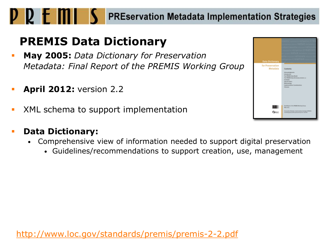## **PREMIS Data Dictionary**

- **May 2005:** *Data Dictionary for Preservation Metadata: Final Report of the PREMIS Working Group*
- **April 2012:** version 2.2
- XML schema to support implementation

#### **Data Dictionary:**

P P F MII

- Comprehensive view of information needed to support digital preservation
	- Guidelines/recommendations to support creation, use, management

| <b>Data Dictionary</b>       |                                                                                                                                                                                                                                                                    |
|------------------------------|--------------------------------------------------------------------------------------------------------------------------------------------------------------------------------------------------------------------------------------------------------------------|
| for Preservation<br>Metadata | Contents:<br>Altradelgrants<br>introduction:<br>The PREMIS Data Model<br>The PREMIX Data Dictionary wrater Ltd.<br><b><i><u><i><u><b>Descriptions</b></u></i></u></i></b><br><b>Special Trains</b><br><b>Ballodakap</b><br>Implementation Considerations<br>Showay |
| 砸<br>QRIG                    | Road Measuring Fire PROWER Monitory Group<br><b>Max areng</b><br>Preservation Metadoral Implementation Strategies (PROMO)<br>A waliting private central approximating SCO and RDA                                                                                  |

#### <http://www.loc.gov/standards/premis/premis-2-2.pdf>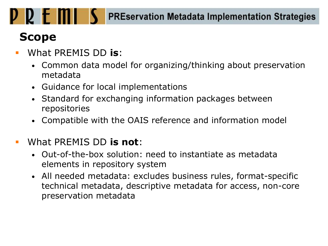## **Scope**

- What PREMIS DD **is**:
	- Common data model for organizing/thinking about preservation metadata
	- Guidance for local implementations
	- Standard for exchanging information packages between repositories
	- Compatible with the OAIS reference and information model

### What PREMIS DD **is not**:

- Out-of-the-box solution: need to instantiate as metadata elements in repository system
- All needed metadata: excludes business rules, format-specific technical metadata, descriptive metadata for access, non-core preservation metadata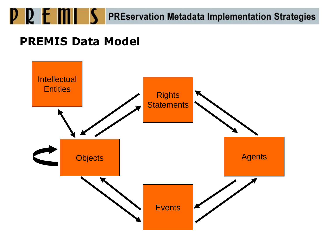

### **PREMIS Data Model**

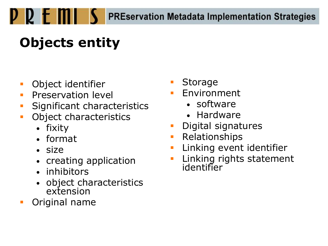# **Objects entity**

- **•** Object identifier
- Preservation level
- Significant characteristics
- **Object characteristics** 
	- fixity

PREM

- format
- size
- creating application
- inhibitors
- object characteristics extension
- Original name
- Storage
- **Environment** 
	- software
	- Hardware
- Digital signatures
- **Relationships**
- Linking event identifier
- **Linking rights statement** identifier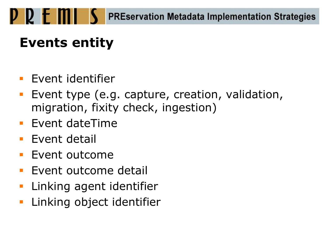# **Events entity**

- **Event identifier**
- **Exent type (e.g. capture, creation, validation,** migration, fixity check, ingestion)
- **Event dateTime**
- **Event detail**
- **Event outcome**
- **Event outcome detail**
- **Linking agent identifier**
- **Linking object identifier**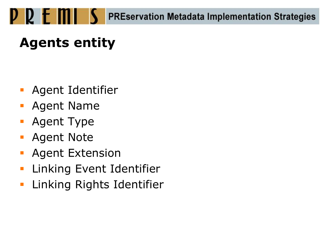# **Agents entity**

- **Agent Identifier**
- Agent Name
- Agent Type
- Agent Note
- **Agent Extension**
- **Linking Event Identifier**
- **Linking Rights Identifier**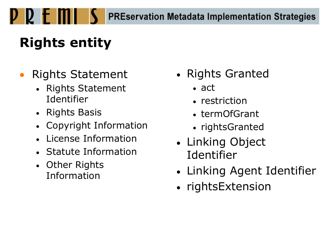# **Rights entity**

P 2 F MI

## • Rights Statement

- Rights Statement Identifier
- Rights Basis
- Copyright Information
- License Information
- Statute Information
- Other Rights Information
- Rights Granted
	- $\bullet$  act
	- restriction
	- termOfGrant
	- rightsGranted
- Linking Object Identifier
- Linking Agent Identifier
- rightsExtension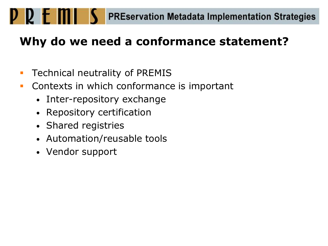## **Why do we need a conformance statement?**

- **Technical neutrality of PREMIS**
- **Contexts in which conformance is important** 
	- Inter-repository exchange
	- Repository certification
	- Shared registries
	- Automation/reusable tools
	- Vendor support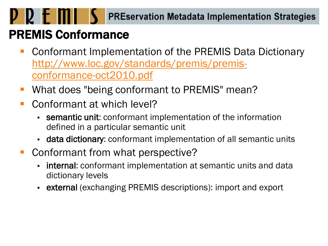## PREMIS Conformance

- Conformant Implementation of the PREMIS Data Dictionary [http://www.loc.gov/standards/premis/premis](http://www.loc.gov/standards/premis/premis-conformance-oct2010.pdf)[conformance-oct2010.pdf](http://www.loc.gov/standards/premis/premis-conformance-oct2010.pdf)
- **What does "being conformant to PREMIS" mean?**
- Conformant at which level?
	- semantic unit: conformant implementation of the information defined in a particular semantic unit
	- data dictionary: conformant implementation of all semantic units
- Conformant from what perspective?
	- internal: conformant implementation at semantic units and data dictionary levels
	- **external** (exchanging PREMIS descriptions): import and export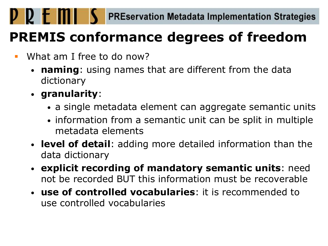# **PREMIS conformance degrees of freedom**

- **What am I free to do now?** 
	- **naming**: using names that are different from the data dictionary
	- **granularity**:

P 2 E MI

- a single metadata element can aggregate semantic units
- information from a semantic unit can be split in multiple metadata elements
- **level of detail**: adding more detailed information than the data dictionary
- **explicit recording of mandatory semantic units**: need not be recorded BUT this information must be recoverable
- **use of controlled vocabularies**: it is recommended to use controlled vocabularies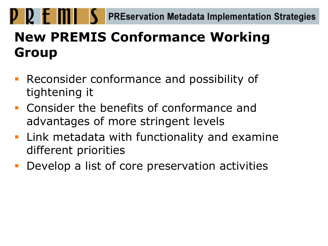## **New PREMIS Conformance Working Group**

- **Reconsider conformance and possibility of** tightening it
- Consider the benefits of conformance and advantages of more stringent levels
- **Link metadata with functionality and examine** different priorities
- **Develop a list of core preservation activities**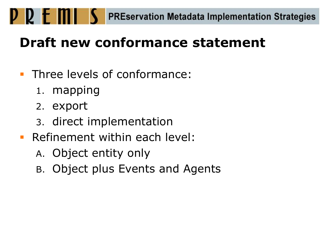# **Draft new conformance statement**

- **Three levels of conformance:** 
	- 1. mapping
	- 2. export
	- 3. direct implementation
- Refinement within each level:
	- A. Object entity only
	- B. Object plus Events and Agents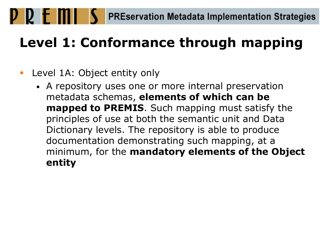# **Level 1: Conformance through mapping**

#### **Level 1A: Object entity only**

P R F M

• A repository uses one or more internal preservation metadata schemas, **elements of which can be mapped to PREMIS**. Such mapping must satisfy the principles of use at both the semantic unit and Data Dictionary levels. The repository is able to produce documentation demonstrating such mapping, at a minimum, for the **mandatory elements of the Object entity**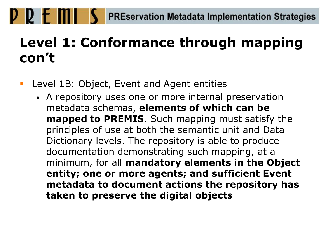# **Level 1: Conformance through mapping con't**

- **Level 1B: Object, Event and Agent entities** 
	- A repository uses one or more internal preservation metadata schemas, **elements of which can be mapped to PREMIS**. Such mapping must satisfy the principles of use at both the semantic unit and Data Dictionary levels. The repository is able to produce documentation demonstrating such mapping, at a minimum, for all **mandatory elements in the Object entity; one or more agents; and sufficient Event metadata to document actions the repository has taken to preserve the digital objects**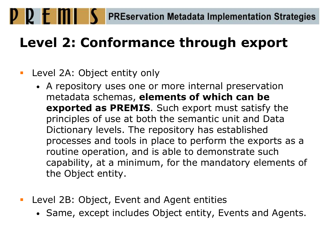# **Level 2: Conformance through export**

#### **Level 2A: Object entity only**

P R E MI

- A repository uses one or more internal preservation metadata schemas, **elements of which can be exported as PREMIS**. Such export must satisfy the principles of use at both the semantic unit and Data Dictionary levels. The repository has established processes and tools in place to perform the exports as a routine operation, and is able to demonstrate such capability, at a minimum, for the mandatory elements of the Object entity.
- **Level 2B: Object, Event and Agent entities** 
	- Same, except includes Object entity, Events and Agents.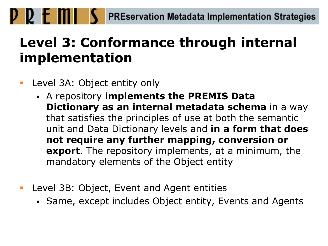## **Level 3: Conformance through internal implementation**

**Level 3A: Object entity only** 

PREMI

- A repository **implements the PREMIS Data Dictionary as an internal metadata schema** in a way that satisfies the principles of use at both the semantic unit and Data Dictionary levels and **in a form that does not require any further mapping, conversion or export**. The repository implements, at a minimum, the mandatory elements of the Object entity
- **Level 3B: Object, Event and Agent entities** 
	- Same, except includes Object entity, Events and Agents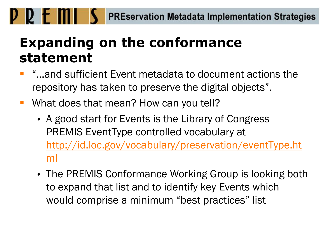## **Expanding on the conformance statement**

- "…and sufficient Event metadata to document actions the repository has taken to preserve the digital objects".
- **What does that mean? How can you tell?**

P D E MI

- A good start for Events is the Library of Congress PREMIS EventType controlled vocabulary at [http://id.loc.gov/vocabulary/preservation/eventType.ht](http://id.loc.gov/vocabulary/preservation/eventType.html) [ml](http://id.loc.gov/vocabulary/preservation/eventType.html)
- The PREMIS Conformance Working Group is looking both to expand that list and to identify key Events which would comprise a minimum "best practices" list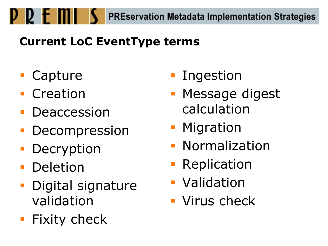## **Current LoC EventType terms**

Capture

P P F MI

- **Creation**
- Deaccession
- Decompression
- **Decryption**
- **Deletion**
- Digital signature validation
- **Fixity check**
- **Ingestion**
- Message digest calculation
- **Migration**
- **Normalization**
- **Replication**
- **Validation**
- **Virus check**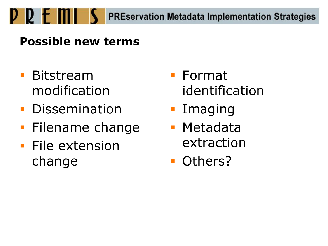### **Possible new terms**

 Bitstream modification

PREM

- **Dissemination**
- **Filename change**
- **File extension** change
- Format identification
- **Imaging**
- **Metadata** extraction
- **D** Others?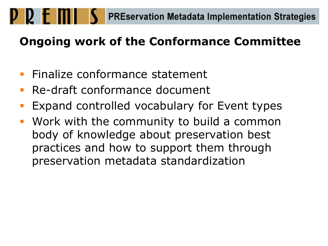## **Ongoing work of the Conformance Committee**

- **Finalize conformance statement**
- Re-draft conformance document
- Expand controlled vocabulary for Event types
- Work with the community to build a common body of knowledge about preservation best practices and how to support them through preservation metadata standardization